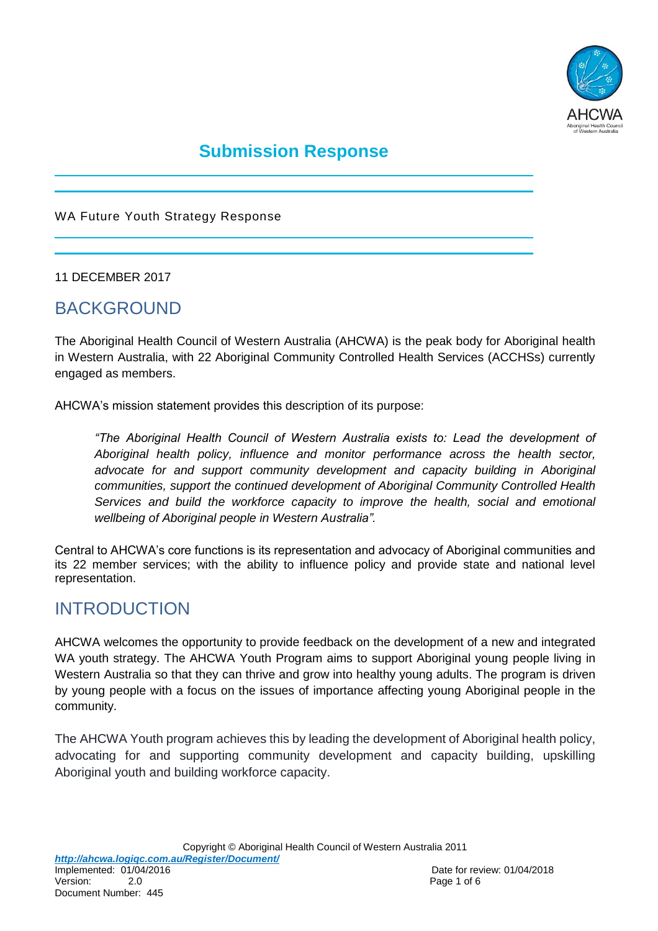

# **Submission Response**

WA Future Youth Strategy Response

11 DECEMBER 2017

## BACKGROUND

The Aboriginal Health Council of Western Australia (AHCWA) is the peak body for Aboriginal health in Western Australia, with 22 Aboriginal Community Controlled Health Services (ACCHSs) currently engaged as members.

AHCWA's mission statement provides this description of its purpose:

*"The Aboriginal Health Council of Western Australia exists to: Lead the development of Aboriginal health policy, influence and monitor performance across the health sector,*  advocate for and support community development and capacity building in Aboriginal *communities, support the continued development of Aboriginal Community Controlled Health Services and build the workforce capacity to improve the health, social and emotional wellbeing of Aboriginal people in Western Australia".* 

Central to AHCWA's core functions is its representation and advocacy of Aboriginal communities and its 22 member services; with the ability to influence policy and provide state and national level representation.

## INTRODUCTION

AHCWA welcomes the opportunity to provide feedback on the development of a new and integrated WA youth strategy. The AHCWA Youth Program aims to support Aboriginal young people living in Western Australia so that they can thrive and grow into healthy young adults. The program is driven by young people with a focus on the issues of importance affecting young Aboriginal people in the community.

The AHCWA Youth program achieves this by leading the development of Aboriginal health policy, advocating for and supporting community development and capacity building, upskilling Aboriginal youth and building workforce capacity.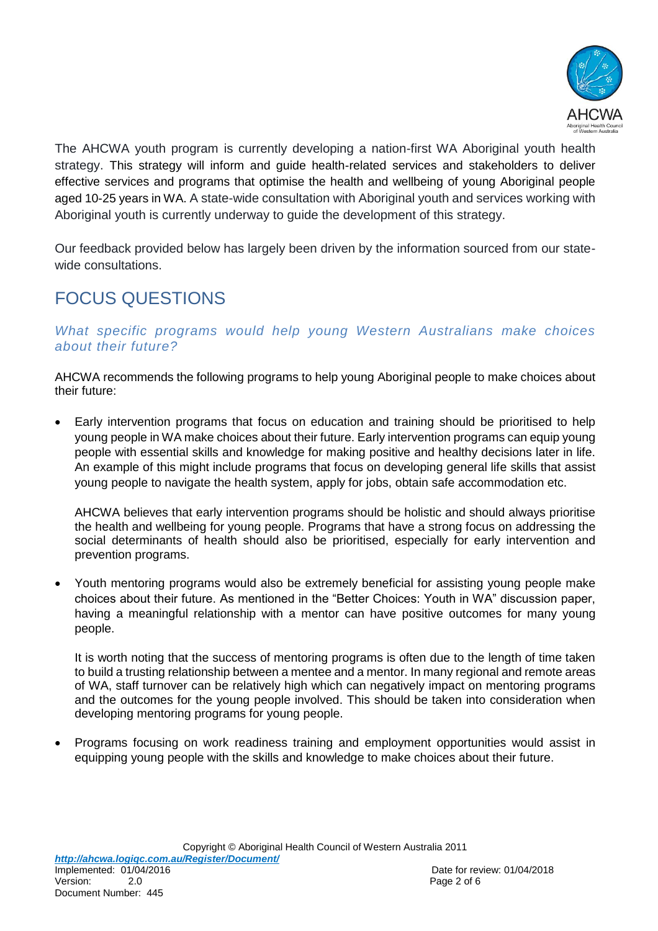

The AHCWA youth program is currently developing a nation-first WA Aboriginal youth health strategy. This strategy will inform and guide health-related services and stakeholders to deliver effective services and programs that optimise the health and wellbeing of young Aboriginal people aged 10-25 years in WA. A state-wide consultation with Aboriginal youth and services working with Aboriginal youth is currently underway to guide the development of this strategy.

Our feedback provided below has largely been driven by the information sourced from our statewide consultations.

# FOCUS QUESTIONS

### *What specific programs would help young Western Australians make choices about their future?*

AHCWA recommends the following programs to help young Aboriginal people to make choices about their future:

 Early intervention programs that focus on education and training should be prioritised to help young people in WA make choices about their future. Early intervention programs can equip young people with essential skills and knowledge for making positive and healthy decisions later in life. An example of this might include programs that focus on developing general life skills that assist young people to navigate the health system, apply for jobs, obtain safe accommodation etc.

AHCWA believes that early intervention programs should be holistic and should always prioritise the health and wellbeing for young people. Programs that have a strong focus on addressing the social determinants of health should also be prioritised, especially for early intervention and prevention programs.

 Youth mentoring programs would also be extremely beneficial for assisting young people make choices about their future. As mentioned in the "Better Choices: Youth in WA" discussion paper, having a meaningful relationship with a mentor can have positive outcomes for many young people.

It is worth noting that the success of mentoring programs is often due to the length of time taken to build a trusting relationship between a mentee and a mentor. In many regional and remote areas of WA, staff turnover can be relatively high which can negatively impact on mentoring programs and the outcomes for the young people involved. This should be taken into consideration when developing mentoring programs for young people.

 Programs focusing on work readiness training and employment opportunities would assist in equipping young people with the skills and knowledge to make choices about their future.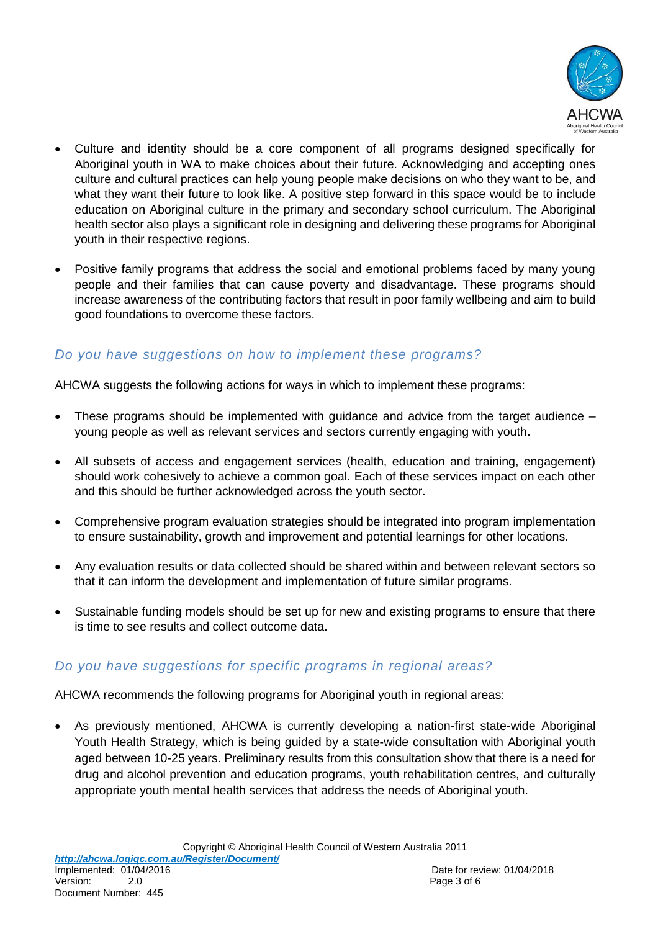

- Culture and identity should be a core component of all programs designed specifically for Aboriginal youth in WA to make choices about their future. Acknowledging and accepting ones culture and cultural practices can help young people make decisions on who they want to be, and what they want their future to look like. A positive step forward in this space would be to include education on Aboriginal culture in the primary and secondary school curriculum. The Aboriginal health sector also plays a significant role in designing and delivering these programs for Aboriginal youth in their respective regions.
- Positive family programs that address the social and emotional problems faced by many young people and their families that can cause poverty and disadvantage. These programs should increase awareness of the contributing factors that result in poor family wellbeing and aim to build good foundations to overcome these factors.

## *Do you have suggestions on how to implement these programs?*

AHCWA suggests the following actions for ways in which to implement these programs:

- These programs should be implemented with guidance and advice from the target audience young people as well as relevant services and sectors currently engaging with youth.
- All subsets of access and engagement services (health, education and training, engagement) should work cohesively to achieve a common goal. Each of these services impact on each other and this should be further acknowledged across the youth sector.
- Comprehensive program evaluation strategies should be integrated into program implementation to ensure sustainability, growth and improvement and potential learnings for other locations.
- Any evaluation results or data collected should be shared within and between relevant sectors so that it can inform the development and implementation of future similar programs.
- Sustainable funding models should be set up for new and existing programs to ensure that there is time to see results and collect outcome data.

## *Do you have suggestions for specific programs in regional areas?*

AHCWA recommends the following programs for Aboriginal youth in regional areas:

 As previously mentioned, AHCWA is currently developing a nation-first state-wide Aboriginal Youth Health Strategy, which is being guided by a state-wide consultation with Aboriginal youth aged between 10-25 years. Preliminary results from this consultation show that there is a need for drug and alcohol prevention and education programs, youth rehabilitation centres, and culturally appropriate youth mental health services that address the needs of Aboriginal youth.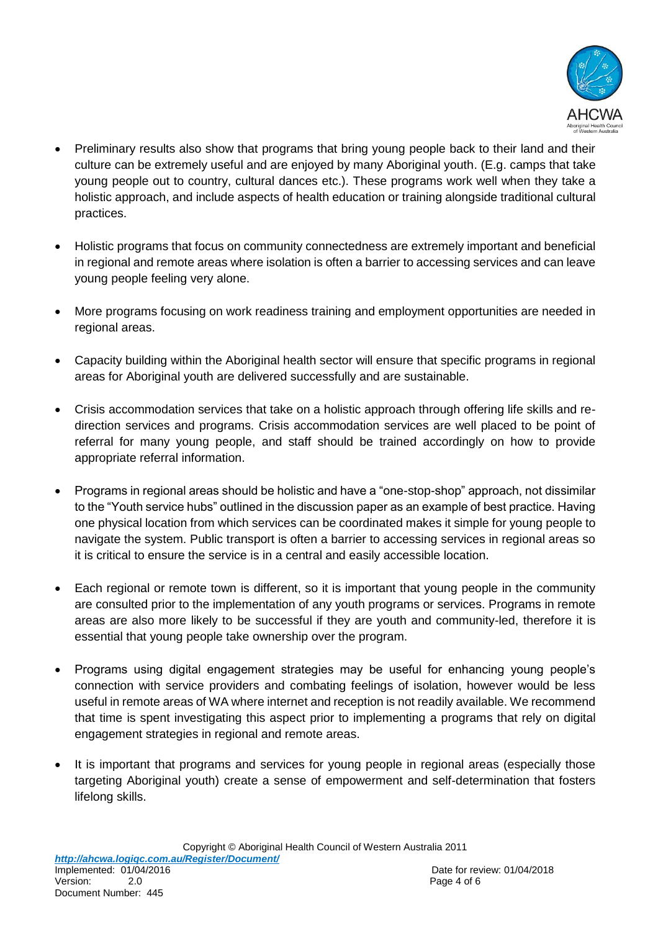

- Preliminary results also show that programs that bring young people back to their land and their culture can be extremely useful and are enjoyed by many Aboriginal youth. (E.g. camps that take young people out to country, cultural dances etc.). These programs work well when they take a holistic approach, and include aspects of health education or training alongside traditional cultural practices.
- Holistic programs that focus on community connectedness are extremely important and beneficial in regional and remote areas where isolation is often a barrier to accessing services and can leave young people feeling very alone.
- More programs focusing on work readiness training and employment opportunities are needed in regional areas.
- Capacity building within the Aboriginal health sector will ensure that specific programs in regional areas for Aboriginal youth are delivered successfully and are sustainable.
- Crisis accommodation services that take on a holistic approach through offering life skills and redirection services and programs. Crisis accommodation services are well placed to be point of referral for many young people, and staff should be trained accordingly on how to provide appropriate referral information.
- Programs in regional areas should be holistic and have a "one-stop-shop" approach, not dissimilar to the "Youth service hubs" outlined in the discussion paper as an example of best practice. Having one physical location from which services can be coordinated makes it simple for young people to navigate the system. Public transport is often a barrier to accessing services in regional areas so it is critical to ensure the service is in a central and easily accessible location.
- Each regional or remote town is different, so it is important that young people in the community are consulted prior to the implementation of any youth programs or services. Programs in remote areas are also more likely to be successful if they are youth and community-led, therefore it is essential that young people take ownership over the program.
- Programs using digital engagement strategies may be useful for enhancing young people's connection with service providers and combating feelings of isolation, however would be less useful in remote areas of WA where internet and reception is not readily available. We recommend that time is spent investigating this aspect prior to implementing a programs that rely on digital engagement strategies in regional and remote areas.
- It is important that programs and services for young people in regional areas (especially those targeting Aboriginal youth) create a sense of empowerment and self-determination that fosters lifelong skills.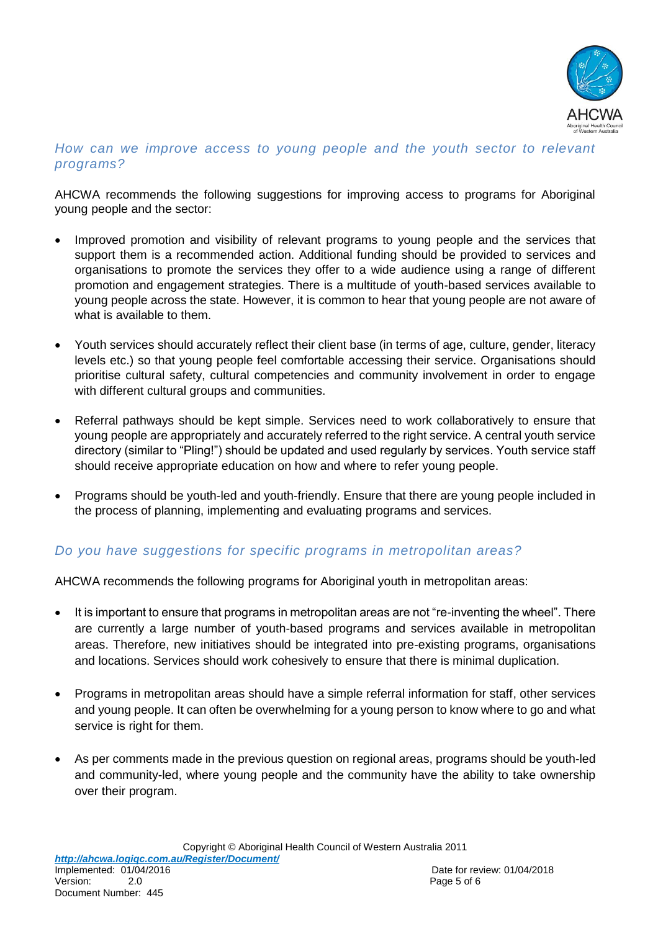

#### *How can we improve access to young people and the youth sector to relevant programs?*

AHCWA recommends the following suggestions for improving access to programs for Aboriginal young people and the sector:

- Improved promotion and visibility of relevant programs to young people and the services that support them is a recommended action. Additional funding should be provided to services and organisations to promote the services they offer to a wide audience using a range of different promotion and engagement strategies. There is a multitude of youth-based services available to young people across the state. However, it is common to hear that young people are not aware of what is available to them.
- Youth services should accurately reflect their client base (in terms of age, culture, gender, literacy levels etc.) so that young people feel comfortable accessing their service. Organisations should prioritise cultural safety, cultural competencies and community involvement in order to engage with different cultural groups and communities.
- Referral pathways should be kept simple. Services need to work collaboratively to ensure that young people are appropriately and accurately referred to the right service. A central youth service directory (similar to "Pling!") should be updated and used regularly by services. Youth service staff should receive appropriate education on how and where to refer young people.
- Programs should be youth-led and youth-friendly. Ensure that there are young people included in the process of planning, implementing and evaluating programs and services.

## *Do you have suggestions for specific programs in metropolitan areas?*

AHCWA recommends the following programs for Aboriginal youth in metropolitan areas:

- It is important to ensure that programs in metropolitan areas are not "re-inventing the wheel". There are currently a large number of youth-based programs and services available in metropolitan areas. Therefore, new initiatives should be integrated into pre-existing programs, organisations and locations. Services should work cohesively to ensure that there is minimal duplication.
- Programs in metropolitan areas should have a simple referral information for staff, other services and young people. It can often be overwhelming for a young person to know where to go and what service is right for them.
- As per comments made in the previous question on regional areas, programs should be youth-led and community-led, where young people and the community have the ability to take ownership over their program.